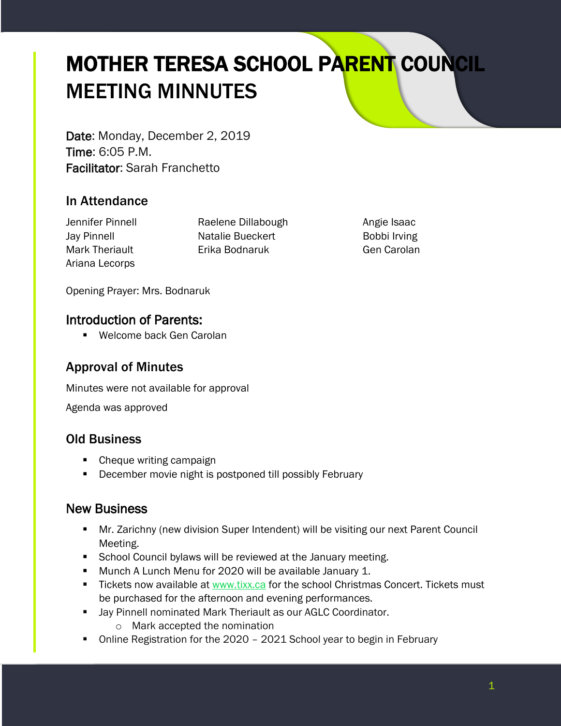# MOTHER TERESA SCHOOL PARENT COUNCIL MEETING MINNUTES

Date: Monday, December 2, 2019 Time: 6:05 P.M. Facilitator: Sarah Franchetto

# In Attendance

Ariana Lecorps

Jennifer Pinnell Raelene Dillabough Angie Isaac Jay Pinnell **Natalie Bueckert Bobbi Irving** Mark Theriault Erika Bodnaruk Gen Carolan

Opening Prayer: Mrs. Bodnaruk

#### Introduction of Parents:

**Welcome back Gen Carolan** 

# Approval of Minutes

Minutes were not available for approval

Agenda was approved

# Old Business

- Cheque writing campaign
- **December movie night is postponed till possibly February**

# New Business

- Mr. Zarichny (new division Super Intendent) will be visiting our next Parent Council Meeting.
- **School Council bylaws will be reviewed at the January meeting.**
- **Munch A Lunch Menu for 2020 will be available January 1.**
- Tickets now available at [www.tixx.ca](http://www.tixx.ca/) for the school Christmas Concert. Tickets must be purchased for the afternoon and evening performances.
- **Jay Pinnell nominated Mark Theriault as our AGLC Coordinator.** 
	- o Mark accepted the nomination
- Online Registration for the 2020 2021 School year to begin in February